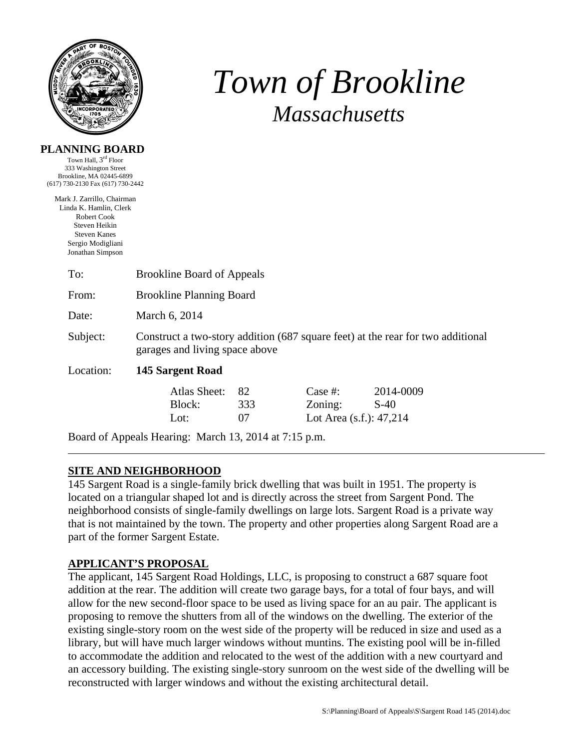

# *Town of Brookline Massachusetts*

| <b>PLANNING BOARD</b>                                                                                                                                       |                                                                                                                   |     |                            |           |  |  |
|-------------------------------------------------------------------------------------------------------------------------------------------------------------|-------------------------------------------------------------------------------------------------------------------|-----|----------------------------|-----------|--|--|
| Town Hall, 3 <sup>rd</sup> Floor                                                                                                                            |                                                                                                                   |     |                            |           |  |  |
| 333 Washington Street                                                                                                                                       |                                                                                                                   |     |                            |           |  |  |
| Brookline, MA 02445-6899<br>(617) 730-2130 Fax (617) 730-2442                                                                                               |                                                                                                                   |     |                            |           |  |  |
| Mark J. Zarrillo, Chairman<br>Linda K. Hamlin, Clerk<br><b>Robert Cook</b><br>Steven Heikin<br><b>Steven Kanes</b><br>Sergio Modigliani<br>Jonathan Simpson |                                                                                                                   |     |                            |           |  |  |
| To:                                                                                                                                                         | <b>Brookline Board of Appeals</b>                                                                                 |     |                            |           |  |  |
| From:                                                                                                                                                       | <b>Brookline Planning Board</b>                                                                                   |     |                            |           |  |  |
| Date:                                                                                                                                                       | March 6, 2014                                                                                                     |     |                            |           |  |  |
| Subject:                                                                                                                                                    | Construct a two-story addition (687 square feet) at the rear for two additional<br>garages and living space above |     |                            |           |  |  |
| Location:                                                                                                                                                   | 145 Sargent Road                                                                                                  |     |                            |           |  |  |
|                                                                                                                                                             | <b>Atlas Sheet:</b>                                                                                               | 82  | Case $#$ :                 | 2014-0009 |  |  |
|                                                                                                                                                             | Block:                                                                                                            | 333 | Zoning:                    | $S-40$    |  |  |
|                                                                                                                                                             | Lot:                                                                                                              | 07  | Lot Area $(s.f.)$ : 47,214 |           |  |  |
|                                                                                                                                                             |                                                                                                                   |     |                            |           |  |  |

Board of Appeals Hearing: March 13, 2014 at 7:15 p.m.

# **SITE AND NEIGHBORHOOD**

145 Sargent Road is a single-family brick dwelling that was built in 1951. The property is located on a triangular shaped lot and is directly across the street from Sargent Pond. The neighborhood consists of single-family dwellings on large lots. Sargent Road is a private way that is not maintained by the town. The property and other properties along Sargent Road are a part of the former Sargent Estate.

# **APPLICANT'S PROPOSAL**

The applicant, 145 Sargent Road Holdings, LLC, is proposing to construct a 687 square foot addition at the rear. The addition will create two garage bays, for a total of four bays, and will allow for the new second-floor space to be used as living space for an au pair. The applicant is proposing to remove the shutters from all of the windows on the dwelling. The exterior of the existing single-story room on the west side of the property will be reduced in size and used as a library, but will have much larger windows without muntins. The existing pool will be in-filled to accommodate the addition and relocated to the west of the addition with a new courtyard and an accessory building. The existing single-story sunroom on the west side of the dwelling will be reconstructed with larger windows and without the existing architectural detail.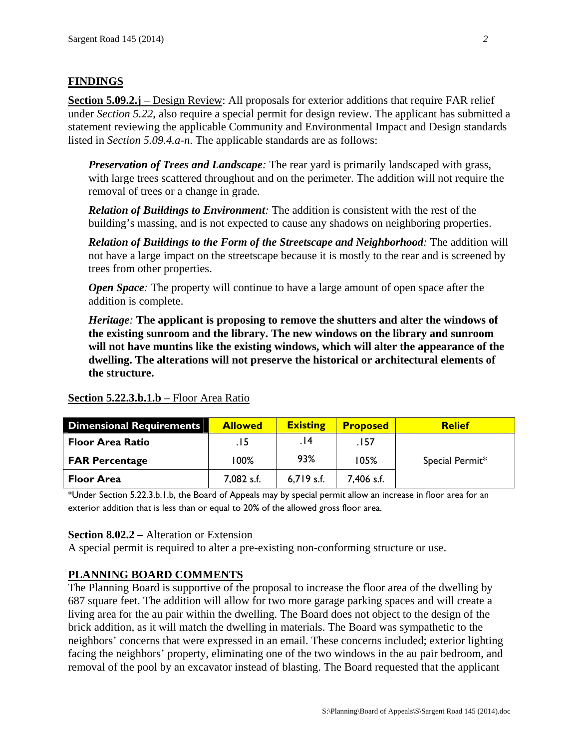# **FINDINGS**

**Section 5.09.2.j** – Design Review: All proposals for exterior additions that require FAR relief under *Section 5.22*, also require a special permit for design review. The applicant has submitted a statement reviewing the applicable Community and Environmental Impact and Design standards listed in *Section 5.09.4.a-n*. The applicable standards are as follows:

*Preservation of Trees and Landscape:* The rear yard is primarily landscaped with grass, with large trees scattered throughout and on the perimeter. The addition will not require the removal of trees or a change in grade.

*Relation of Buildings to Environment:* The addition is consistent with the rest of the building's massing, and is not expected to cause any shadows on neighboring properties.

*Relation of Buildings to the Form of the Streetscape and Neighborhood:* The addition will not have a large impact on the streetscape because it is mostly to the rear and is screened by trees from other properties.

*Open Space*: The property will continue to have a large amount of open space after the addition is complete.

*Heritage:* **The applicant is proposing to remove the shutters and alter the windows of the existing sunroom and the library. The new windows on the library and sunroom will not have muntins like the existing windows, which will alter the appearance of the dwelling. The alterations will not preserve the historical or architectural elements of the structure.** 

| Dimensional Requirements | <b>Allowed</b> | <b>Existing</b> | <b>Proposed</b> | <b>Relief</b>   |
|--------------------------|----------------|-----------------|-----------------|-----------------|
| <b>Floor Area Ratio</b>  | .15            | 14.             | .157            |                 |
| <b>FAR Percentage</b>    | 100%           | 93%             | 105%            | Special Permit* |
| <b>Floor Area</b>        | 7,082 s.f.     | $6,719$ s.f.    | 7,406 s.f.      |                 |

#### **Section 5.22.3.b.1.b** – Floor Area Ratio

\*Under Section 5.22.3.b.1.b, the Board of Appeals may by special permit allow an increase in floor area for an exterior addition that is less than or equal to 20% of the allowed gross floor area.

#### **Section 8.02.2 –** Alteration or Extension

A special permit is required to alter a pre-existing non-conforming structure or use.

#### **PLANNING BOARD COMMENTS**

The Planning Board is supportive of the proposal to increase the floor area of the dwelling by 687 square feet. The addition will allow for two more garage parking spaces and will create a living area for the au pair within the dwelling. The Board does not object to the design of the brick addition, as it will match the dwelling in materials. The Board was sympathetic to the neighbors' concerns that were expressed in an email. These concerns included; exterior lighting facing the neighbors' property, eliminating one of the two windows in the au pair bedroom, and removal of the pool by an excavator instead of blasting. The Board requested that the applicant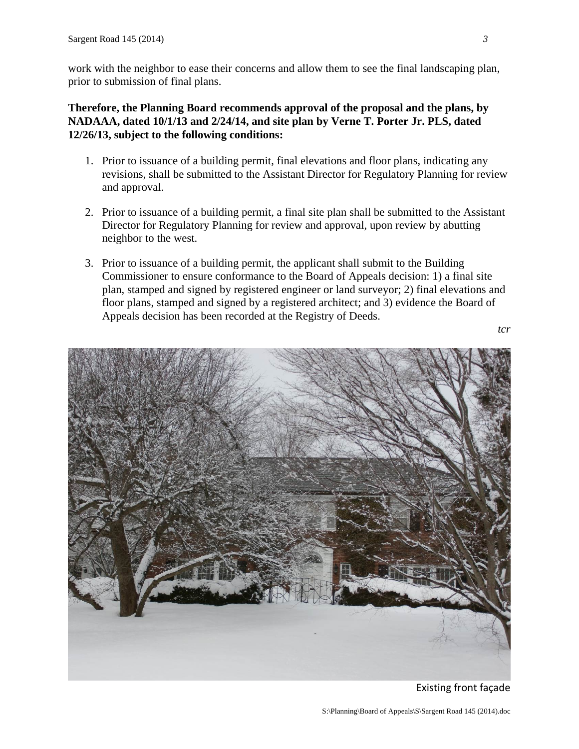work with the neighbor to ease their concerns and allow them to see the final landscaping plan, prior to submission of final plans.

# **Therefore, the Planning Board recommends approval of the proposal and the plans, by NADAAA, dated 10/1/13 and 2/24/14, and site plan by Verne T. Porter Jr. PLS, dated 12/26/13, subject to the following conditions:**

- 1. Prior to issuance of a building permit, final elevations and floor plans, indicating any revisions, shall be submitted to the Assistant Director for Regulatory Planning for review and approval.
- 2. Prior to issuance of a building permit, a final site plan shall be submitted to the Assistant Director for Regulatory Planning for review and approval, upon review by abutting neighbor to the west.
- 3. Prior to issuance of a building permit, the applicant shall submit to the Building Commissioner to ensure conformance to the Board of Appeals decision: 1) a final site plan, stamped and signed by registered engineer or land surveyor; 2) final elevations and floor plans, stamped and signed by a registered architect; and 3) evidence the Board of Appeals decision has been recorded at the Registry of Deeds.

*tcr* 



Existing front façade